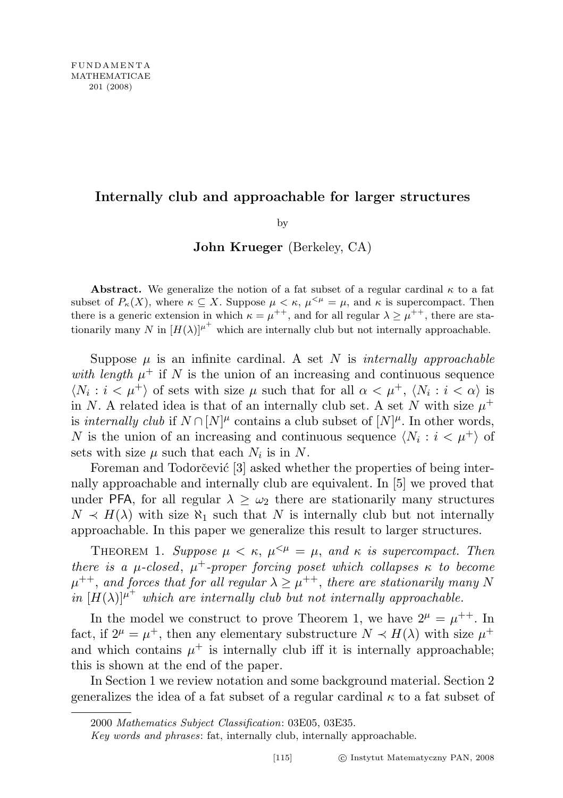## Internally club and approachable for larger structures

by

John Krueger (Berkeley, CA)

**Abstract.** We generalize the notion of a fat subset of a regular cardinal  $\kappa$  to a fat subset of  $P_{\kappa}(X)$ , where  $\kappa \subseteq X$ . Suppose  $\mu < \kappa$ ,  $\mu^{<\mu} = \mu$ , and  $\kappa$  is supercompact. Then there is a generic extension in which  $\kappa = \mu^{++}$ , and for all regular  $\lambda \geq \mu^{++}$ , there are stationarily many N in  $[H(\lambda)]^{\mu^+}$  which are internally club but not internally approachable.

Suppose  $\mu$  is an infinite cardinal. A set N is internally approachable with length  $\mu^+$  if N is the union of an increasing and continuous sequence  $\langle N_i : i < \mu^+ \rangle$  of sets with size  $\mu$  such that for all  $\alpha < \mu^+$ ,  $\langle N_i : i < \alpha \rangle$  is in N. A related idea is that of an internally club set. A set N with size  $\mu^+$ is internally club if  $N \cap [N]^{\mu}$  contains a club subset of  $[N]^{\mu}$ . In other words, N is the union of an increasing and continuous sequence  $\langle N_i : i < \mu^+ \rangle$  of sets with size  $\mu$  such that each  $N_i$  is in N.

Foreman and Todorčević [3] asked whether the properties of being internally approachable and internally club are equivalent. In [5] we proved that under PFA, for all regular  $\lambda \geq \omega_2$  there are stationarily many structures  $N \prec H(\lambda)$  with size  $\aleph_1$  such that N is internally club but not internally approachable. In this paper we generalize this result to larger structures.

THEOREM 1. Suppose  $\mu < \kappa$ ,  $\mu^{<\mu} = \mu$ , and  $\kappa$  is supercompact. Then there is a  $\mu$ -closed,  $\mu^+$ -proper forcing poset which collapses  $\kappa$  to become  $\mu^{++}$ , and forces that for all regular  $\lambda \geq \mu^{++}$ , there are stationarily many N in  $[H(\lambda)]^{\mu^+}$  which are internally club but not internally approachable.

In the model we construct to prove Theorem 1, we have  $2^{\mu} = \mu^{++}$ . In fact, if  $2^{\mu} = \mu^+$ , then any elementary substructure  $N \prec H(\lambda)$  with size  $\mu^+$ and which contains  $\mu^+$  is internally club iff it is internally approachable; this is shown at the end of the paper.

In Section 1 we review notation and some background material. Section 2 generalizes the idea of a fat subset of a regular cardinal  $\kappa$  to a fat subset of

Key words and phrases: fat, internally club, internally approachable.

<sup>2000</sup> Mathematics Subject Classification: 03E05, 03E35.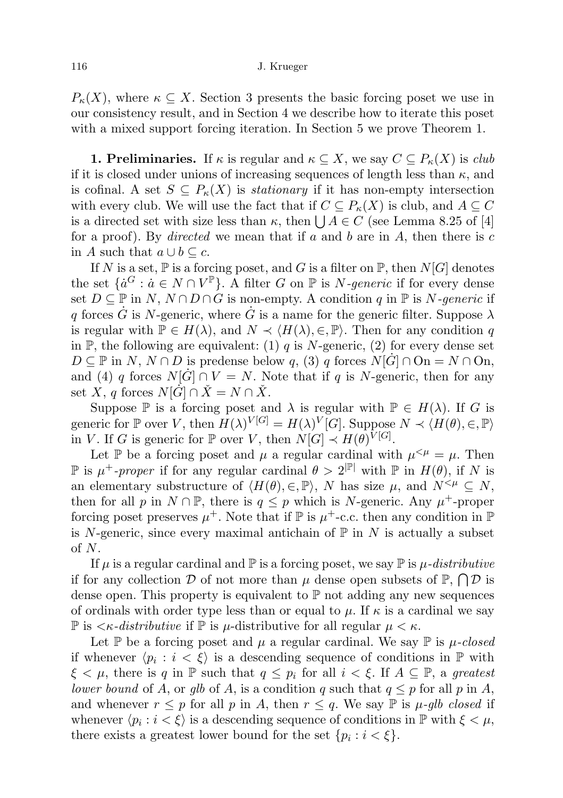$P_{\kappa}(X)$ , where  $\kappa \subseteq X$ . Section 3 presents the basic forcing poset we use in our consistency result, and in Section 4 we describe how to iterate this poset with a mixed support forcing iteration. In Section 5 we prove Theorem 1.

**1. Preliminaries.** If  $\kappa$  is regular and  $\kappa \subseteq X$ , we say  $C \subseteq P_{\kappa}(X)$  is *club* if it is closed under unions of increasing sequences of length less than  $\kappa$ , and is cofinal. A set  $S \subseteq P_{\kappa}(X)$  is *stationary* if it has non-empty intersection with every club. We will use the fact that if  $C \subseteq P_{\kappa}(X)$  is club, and  $A \subseteq C$ is a directed set with size less than  $\kappa$ , then  $\bigcup A \in C$  (see Lemma 8.25 of [4] for a proof). By directed we mean that if a and b are in A, then there is c in A such that  $a \cup b \subseteq c$ .

If N is a set,  $\mathbb P$  is a forcing poset, and G is a filter on  $\mathbb P$ , then  $N[G]$  denotes the set  $\{a^G : a \in N \cap V^{\mathbb{P}}\}$ . A filter G on  $\mathbb P$  is N-generic if for every dense set  $D \subseteq \mathbb{P}$  in  $N, N \cap D \cap G$  is non-empty. A condition q in  $\mathbb{P}$  is N-generic if q forces  $\dot{G}$  is N-generic, where  $\dot{G}$  is a name for the generic filter. Suppose  $\lambda$ is regular with  $\mathbb{P} \in H(\lambda)$ , and  $N \prec \langle H(\lambda), \in, \mathbb{P} \rangle$ . Then for any condition q in P, the following are equivalent: (1) q is N-generic, (2) for every dense set  $D \subseteq \mathbb{P}$  in  $N, N \cap D$  is predense below q, (3) q forces  $N[\dot{G}] \cap \text{On} = N \cap \text{On}$ , and (4) q forces  $N[\dot{G}] \cap V = N$ . Note that if q is N-generic, then for any set  $\hat{X}, q$  forces  $N[\dot{G}] \cap \check{X} = N \cap \check{X}$ .

Suppose  $\mathbb P$  is a forcing poset and  $\lambda$  is regular with  $\mathbb P \in H(\lambda)$ . If G is generic for  $\mathbb P$  over V, then  $H(\lambda)^{V[G]} = H(\lambda)^V[G]$ . Suppose  $N \prec \langle H(\theta), \in, \mathbb P \rangle$ in V. If G is generic for  $\mathbb P$  over V, then  $N[G] \prec H(\theta)^{V[G]}$ .

Let P be a forcing poset and  $\mu$  a regular cardinal with  $\mu^{\leq \mu} = \mu$ . Then  $\mathbb P$  is  $\mu^+$ -proper if for any regular cardinal  $\theta > 2^{|\mathbb P|}$  with  $\mathbb P$  in  $H(\theta)$ , if N is an elementary substructure of  $\langle H(\theta), \in, \mathbb{P} \rangle$ , N has size  $\mu$ , and  $N^{< \mu} \subseteq N$ , then for all p in  $N \cap \mathbb{P}$ , there is  $q \leq p$  which is N-generic. Any  $\mu^+$ -proper forcing poset preserves  $\mu^+$ . Note that if  $\mathbb P$  is  $\mu^+$ -c.c. then any condition in  $\mathbb P$ is N-generic, since every maximal antichain of  $\mathbb P$  in N is actually a subset of N.

If  $\mu$  is a regular cardinal and  $\mathbb P$  is a forcing poset, we say  $\mathbb P$  is  $\mu$ -distributive if for any collection  $D$  of not more than  $\mu$  dense open subsets of  $\mathbb{P}, \bigcap D$  is dense open. This property is equivalent to  $\mathbb P$  not adding any new sequences of ordinals with order type less than or equal to  $\mu$ . If  $\kappa$  is a cardinal we say  $\mathbb P$  is  $\langle \kappa$ -distributive if  $\mathbb P$  is  $\mu$ -distributive for all regular  $\mu \langle \kappa \rangle$ .

Let  $\mathbb P$  be a forcing poset and  $\mu$  a regular cardinal. We say  $\mathbb P$  is  $\mu$ -closed if whenever  $\langle p_i : i < \xi \rangle$  is a descending sequence of conditions in P with  $\xi < \mu$ , there is q in  $\mathbb P$  such that  $q \leq p_i$  for all  $i < \xi$ . If  $A \subseteq \mathbb P$ , a greatest lower bound of A, or glb of A, is a condition q such that  $q \leq p$  for all p in A, and whenever  $r \leq p$  for all p in A, then  $r \leq q$ . We say  $\mathbb P$  is  $\mu$ -glb closed if whenever  $\langle p_i : i < \xi \rangle$  is a descending sequence of conditions in  $\mathbb{P}$  with  $\xi < \mu$ , there exists a greatest lower bound for the set  $\{p_i : i < \xi\}.$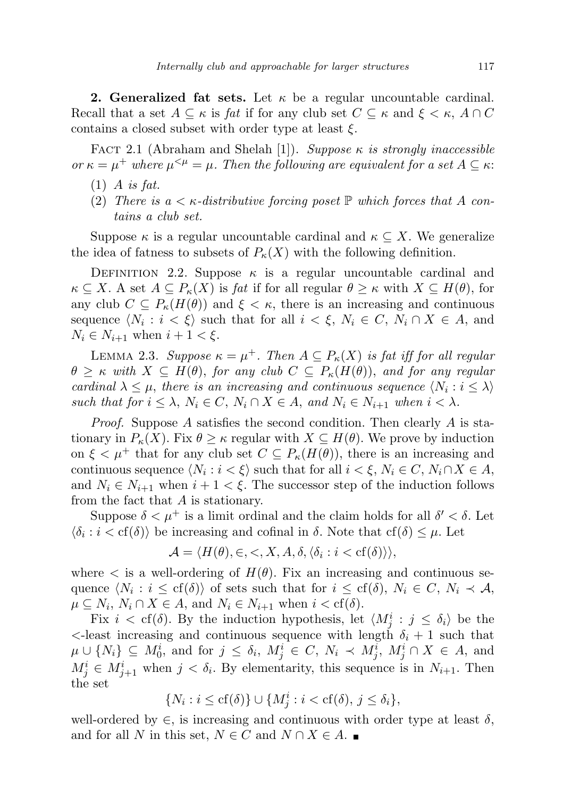**2. Generalized fat sets.** Let  $\kappa$  be a regular uncountable cardinal. Recall that a set  $A \subseteq \kappa$  is fat if for any club set  $C \subseteq \kappa$  and  $\xi < \kappa$ ,  $A \cap C$ contains a closed subset with order type at least  $\xi$ .

FACT 2.1 (Abraham and Shelah [1]). Suppose  $\kappa$  is strongly inaccessible or  $\kappa = \mu^+$  where  $\mu^{<\mu} = \mu$ . Then the following are equivalent for a set  $A \subseteq \kappa$ .

- $(1)$  A is fat.
- (2) There is  $a < \kappa$ -distributive forcing poset  $\mathbb P$  which forces that A contains a club set.

Suppose  $\kappa$  is a regular uncountable cardinal and  $\kappa \subseteq X$ . We generalize the idea of fatness to subsets of  $P_{\kappa}(X)$  with the following definition.

DEFINITION 2.2. Suppose  $\kappa$  is a regular uncountable cardinal and  $\kappa \subseteq X$ . A set  $A \subseteq P_{\kappa}(X)$  is fat if for all regular  $\theta \geq \kappa$  with  $X \subseteq H(\theta)$ , for any club  $C \subseteq P_{\kappa}(H(\theta))$  and  $\xi < \kappa$ , there is an increasing and continuous sequence  $\langle N_i : i < \xi \rangle$  such that for all  $i < \xi$ ,  $N_i \in C$ ,  $N_i \cap X \in A$ , and  $N_i \in N_{i+1}$  when  $i+1 < \xi$ .

LEMMA 2.3. Suppose  $\kappa = \mu^+$ . Then  $A \subseteq P_{\kappa}(X)$  is fat iff for all regular  $\theta \geq \kappa$  with  $X \subseteq H(\theta)$ , for any club  $C \subseteq P_{\kappa}(H(\theta))$ , and for any regular cardinal  $\lambda \leq \mu$ , there is an increasing and continuous sequence  $\langle N_i : i \leq \lambda \rangle$ such that for  $i \leq \lambda$ ,  $N_i \in C$ ,  $N_i \cap X \in A$ , and  $N_i \in N_{i+1}$  when  $i < \lambda$ .

Proof. Suppose A satisfies the second condition. Then clearly A is stationary in  $P_{\kappa}(X)$ . Fix  $\theta \geq \kappa$  regular with  $X \subseteq H(\theta)$ . We prove by induction on  $\xi < \mu^+$  that for any club set  $C \subseteq P_{\kappa}(H(\theta))$ , there is an increasing and continuous sequence  $\langle N_i : i < \xi \rangle$  such that for all  $i < \xi, N_i \in C, N_i \cap X \in A$ , and  $N_i \in N_{i+1}$  when  $i+1 < \xi$ . The successor step of the induction follows from the fact that A is stationary.

Suppose  $\delta < \mu^+$  is a limit ordinal and the claim holds for all  $\delta' < \delta$ . Let  $\langle \delta_i : i < \text{cf}(\delta) \rangle$  be increasing and cofinal in  $\delta$ . Note that  $\text{cf}(\delta) \leq \mu$ . Let

$$
\mathcal{A} = \langle H(\theta), \in, \lt,, X, A, \delta, \langle \delta_i : i < \text{cf}(\delta) \rangle \rangle,
$$

where  $\langle$  is a well-ordering of  $H(\theta)$ . Fix an increasing and continuous sequence  $\langle N_i : i \leq cf(\delta) \rangle$  of sets such that for  $i \leq cf(\delta)$ ,  $N_i \in C$ ,  $N_i \prec A$ ,  $\mu \subseteq N_i$ ,  $N_i \cap X \in A$ , and  $N_i \in N_{i+1}$  when  $i < \text{cf}(\delta)$ .

Fix  $i < \text{cf}(\delta)$ . By the induction hypothesis, let  $\langle M_j^i : j \leq \delta_i \rangle$  be the  $\epsilon$ -least increasing and continuous sequence with length  $\delta_i + 1$  such that  $\mu \cup \{N_i\} \subseteq M_0^i$ , and for  $j \leq \delta_i$ ,  $M_j^i \in C$ ,  $N_i \prec M_j^i$ ,  $M_j^i \cap X \in A$ , and  $M_j^i \in M_{j+1}^i$  when  $j < \delta_i$ . By elementarity, this sequence is in  $N_{i+1}$ . Then the set

$$
\{N_i : i \le \text{cf}(\delta)\} \cup \{M_j^i : i < \text{cf}(\delta), \ j \le \delta_i\},
$$

well-ordered by  $\in$ , is increasing and continuous with order type at least  $\delta$ , and for all N in this set,  $N \in C$  and  $N \cap X \in A$ .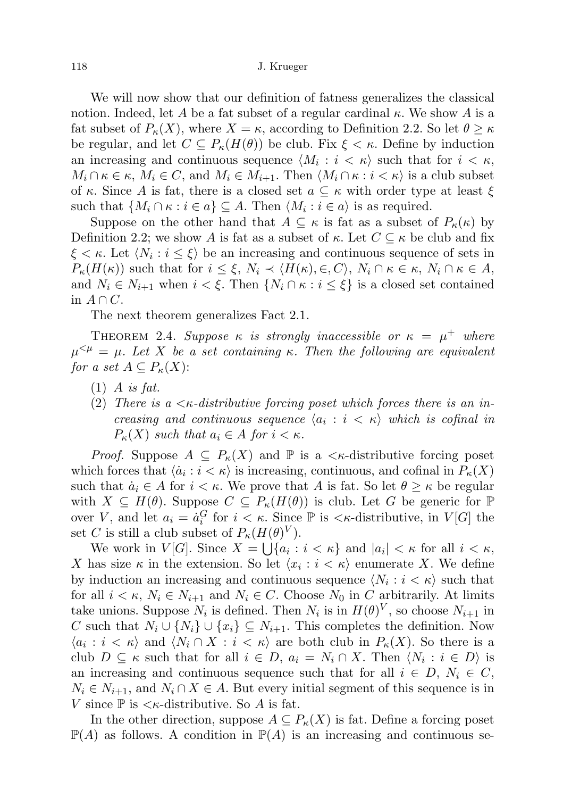118 J. Krueger

We will now show that our definition of fatness generalizes the classical notion. Indeed, let A be a fat subset of a regular cardinal  $\kappa$ . We show A is a fat subset of  $P_{\kappa}(X)$ , where  $X = \kappa$ , according to Definition 2.2. So let  $\theta \geq \kappa$ be regular, and let  $C \subseteq P_{\kappa}(H(\theta))$  be club. Fix  $\xi < \kappa$ . Define by induction an increasing and continuous sequence  $\langle M_i : i \langle \kappa \rangle$  such that for  $i \langle \kappa, \rangle$  $M_i \cap \kappa \in \kappa$ ,  $M_i \in C$ , and  $M_i \in M_{i+1}$ . Then  $\langle M_i \cap \kappa : i < \kappa \rangle$  is a club subset of κ. Since A is fat, there is a closed set  $a \subseteq \kappa$  with order type at least  $\xi$ such that  $\{M_i \cap \kappa : i \in a\} \subseteq A$ . Then  $\langle M_i : i \in a \rangle$  is as required.

Suppose on the other hand that  $A \subseteq \kappa$  is fat as a subset of  $P_{\kappa}(\kappa)$  by Definition 2.2; we show A is fat as a subset of  $\kappa$ . Let  $C \subseteq \kappa$  be club and fix  $\xi < \kappa$ . Let  $\langle N_i : i \leq \xi \rangle$  be an increasing and continuous sequence of sets in  $P_{\kappa}(H(\kappa))$  such that for  $i \leq \xi$ ,  $N_i \prec \langle H(\kappa), \in, C \rangle$ ,  $N_i \cap \kappa \in \kappa$ ,  $N_i \cap \kappa \in A$ , and  $N_i \in N_{i+1}$  when  $i < \xi$ . Then  $\{N_i \cap \kappa : i \leq \xi\}$  is a closed set contained in  $A \cap C$ .

The next theorem generalizes Fact 2.1.

THEOREM 2.4. Suppose  $\kappa$  is strongly inaccessible or  $\kappa = \mu^+$  where  $\mu^{<\mu} = \mu$ . Let X be a set containing κ. Then the following are equivalent for a set  $A \subseteq P_{\kappa}(X)$ :

- $(1)$  A is fat.
- (2) There is a  $\lt$  *k*-distributive forcing poset which forces there is an increasing and continuous sequence  $\langle a_i : i \langle \kappa \rangle$  which is cofinal in  $P_{\kappa}(X)$  such that  $a_i \in A$  for  $i < \kappa$ .

*Proof.* Suppose  $A \subseteq P_{\kappa}(X)$  and  $\mathbb P$  is a  $\lt_{\kappa}$ -distributive forcing poset which forces that  $\langle \dot{a}_i : i < \kappa \rangle$  is increasing, continuous, and cofinal in  $P_{\kappa}(X)$ such that  $\dot{a}_i \in A$  for  $i < \kappa$ . We prove that A is fat. So let  $\theta \geq \kappa$  be regular with  $X \subseteq H(\theta)$ . Suppose  $C \subseteq P_{\kappa}(H(\theta))$  is club. Let G be generic for  $\mathbb P$ over V, and let  $a_i = a_i^G$  for  $i < \kappa$ . Since  $\mathbb P$  is  $\lt_{\kappa}$ -distributive, in  $V[G]$  the set C is still a club subset of  $P_{\kappa}(H(\theta)^V)$ .

We work in  $V[G]$ . Since  $X = \bigcup \{a_i : i < \kappa\}$  and  $|a_i| < \kappa$  for all  $i < \kappa$ , X has size  $\kappa$  in the extension. So let  $\langle x_i : i \langle \kappa \rangle$  enumerate X. We define by induction an increasing and continuous sequence  $\langle N_i : i < \kappa \rangle$  such that for all  $i < \kappa$ ,  $N_i \in N_{i+1}$  and  $N_i \in C$ . Choose  $N_0$  in C arbitrarily. At limits take unions. Suppose  $N_i$  is defined. Then  $N_i$  is in  $H(\theta)^V$ , so choose  $N_{i+1}$  in C such that  $N_i \cup \{N_i\} \cup \{x_i\} \subseteq N_{i+1}$ . This completes the definition. Now  $\langle a_i : i < \kappa \rangle$  and  $\langle N_i \cap X : i < \kappa \rangle$  are both club in  $P_{\kappa}(X)$ . So there is a club  $D \subseteq \kappa$  such that for all  $i \in D$ ,  $a_i = N_i \cap X$ . Then  $\langle N_i : i \in D \rangle$  is an increasing and continuous sequence such that for all  $i \in D$ ,  $N_i \in C$ ,  $N_i \in N_{i+1}$ , and  $N_i \cap X \in A$ . But every initial segment of this sequence is in V since  $\mathbb P$  is  $<\kappa$ -distributive. So A is fat.

In the other direction, suppose  $A \subseteq P_{\kappa}(X)$  is fat. Define a forcing poset  $\mathbb{P}(A)$  as follows. A condition in  $\mathbb{P}(A)$  is an increasing and continuous se-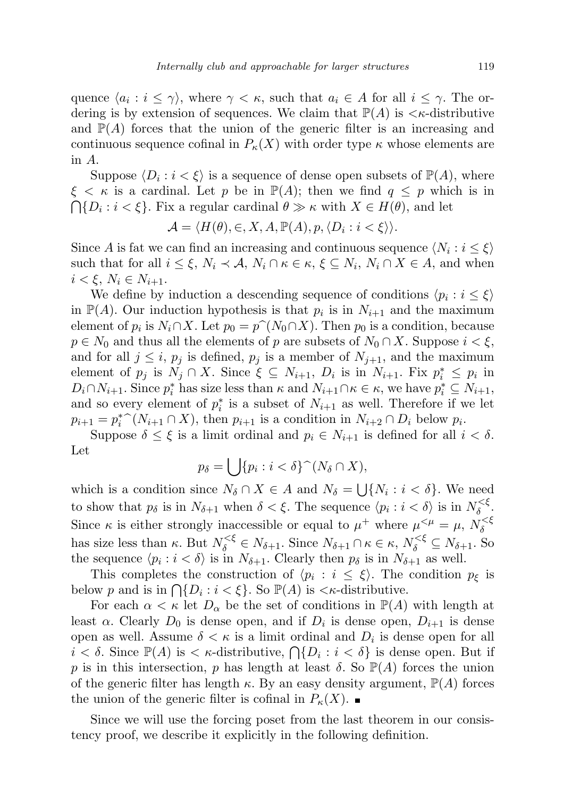quence  $\langle a_i : i \leq \gamma \rangle$ , where  $\gamma < \kappa$ , such that  $a_i \in A$  for all  $i \leq \gamma$ . The ordering is by extension of sequences. We claim that  $\mathbb{P}(A)$  is  $\lt \kappa$ -distributive and  $\mathbb{P}(A)$  forces that the union of the generic filter is an increasing and continuous sequence cofinal in  $P_{\kappa}(X)$  with order type  $\kappa$  whose elements are in A.

Suppose  $\langle D_i : i < \xi \rangle$  is a sequence of dense open subsets of  $\mathbb{P}(A)$ , where  $\xi < \kappa$  is a cardinal. Let p be in  $\mathbb{P}(A)$ ; then we find  $q \leq p$  which is in  $\bigcap \{D_i : i < \xi\}$ . Fix a regular cardinal  $\theta \gg \kappa$  with  $X \in H(\theta)$ , and let

$$
\mathcal{A} = \langle H(\theta), \in, X, A, \mathbb{P}(A), p, \langle D_i : i < \xi \rangle \rangle.
$$

Since A is fat we can find an increasing and continuous sequence  $\langle N_i : i \leq \xi \rangle$ such that for all  $i \leq \xi$ ,  $N_i \prec A$ ,  $N_i \cap \kappa \in \kappa$ ,  $\xi \subseteq N_i$ ,  $N_i \cap X \in A$ , and when  $i < \xi$ ,  $N_i \in N_{i+1}$ .

We define by induction a descending sequence of conditions  $\langle p_i : i \leq \xi \rangle$ in  $\mathbb{P}(A)$ . Our induction hypothesis is that  $p_i$  is in  $N_{i+1}$  and the maximum element of  $p_i$  is  $N_i \cap X$ . Let  $p_0 = p^*(N_0 \cap X)$ . Then  $p_0$  is a condition, because  $p \in N_0$  and thus all the elements of n are subsets of  $N_0 \cap X$ . Suppose  $i \leq \xi$  $p \in N_0$  and thus all the elements of p are subsets of  $N_0 \cap X$ . Suppose  $i < \xi$ , and for all  $j \leq i$ ,  $p_j$  is defined,  $p_j$  is a member of  $N_{j+1}$ , and the maximum element of  $p_j$  is  $\tilde{N}_j \cap X$ . Since  $\xi \subseteq N_{i+1}$ ,  $D_i$  is in  $N_{i+1}$ . Fix  $p_i^* \leq p_i$  in  $D_i \cap N_{i+1}$ . Since  $p_i^*$  has size less than  $\kappa$  and  $N_{i+1} \cap \kappa \in \kappa$ , we have  $p_i^* \subseteq N_{i+1}$ , and so every element of  $p_i^*$  is a subset of  $N_{i+1}$  as well. Therefore if we let  $p_{i+1} = p_i^* \hat{O}(N_{i+1} \cap X)$ , then  $p_{i+1}$  is a condition in  $N_{i+2} \cap D_i$  below  $p_i$ .<br>Suppose  $\delta \leq \xi$  is a limit ordinal and  $p_i \in N_{i+1}$  is defined for all i

Suppose  $\delta \leq \xi$  is a limit ordinal and  $p_i \in N_{i+1}$  is defined for all  $i < \delta$ . Let

$$
p_{\delta} = \bigcup \{ p_i : i < \delta \}^{\widehat{\ }} (N_{\delta} \cap X),
$$

which is a condition since  $N_{\delta} \cap X \in A$  and  $N_{\delta} = \bigcup \{N_i : i < \delta\}$ . We need to show that  $p_\delta$  is in  $N_{\delta+1}$  when  $\delta < \xi$ . The sequence  $\langle p_i : i < \delta \rangle$  is in  $N_{\delta}^{\leq \xi}$  $\delta^{\leq \xi}$ . Since  $\kappa$  is either strongly inaccessible or equal to  $\mu^+$  where  $\mu^{<\mu} = \mu, N_\delta^{<\xi}$ δ has size less than  $\kappa$ . But  $N_{\delta}^{<\xi} \in N_{\delta+1}$ . Since  $N_{\delta+1} \cap \kappa \in \kappa$ ,  $N_{\delta}^{<\xi} \subseteq N_{\delta+1}$ . So the sequence  $\langle p_i : i < \delta \rangle$  is in  $N_{\delta+1}$ . Clearly then  $p_{\delta}$  is in  $N_{\delta+1}$  as well.

This completes the construction of  $\langle p_i : i \leq \xi \rangle$ . The condition  $p_{\xi}$  is below p and is in  $\bigcap \{D_i : i < \xi\}$ . So  $\mathbb{P}(A)$  is  $\lt \kappa$ -distributive.

For each  $\alpha < \kappa$  let  $D_{\alpha}$  be the set of conditions in  $\mathbb{P}(A)$  with length at least  $\alpha$ . Clearly  $D_0$  is dense open, and if  $D_i$  is dense open,  $D_{i+1}$  is dense open as well. Assume  $\delta < \kappa$  is a limit ordinal and  $D_i$  is dense open for all  $i < \delta$ . Since  $\mathbb{P}(A)$  is  $\lt \kappa$ -distributive,  $\bigcap \{D_i : i < \delta\}$  is dense open. But if p is in this intersection, p has length at least  $\delta$ . So  $\mathbb{P}(A)$  forces the union of the generic filter has length  $\kappa$ . By an easy density argument,  $\mathbb{P}(A)$  forces the union of the generic filter is cofinal in  $P_{\kappa}(X)$ .

Since we will use the forcing poset from the last theorem in our consistency proof, we describe it explicitly in the following definition.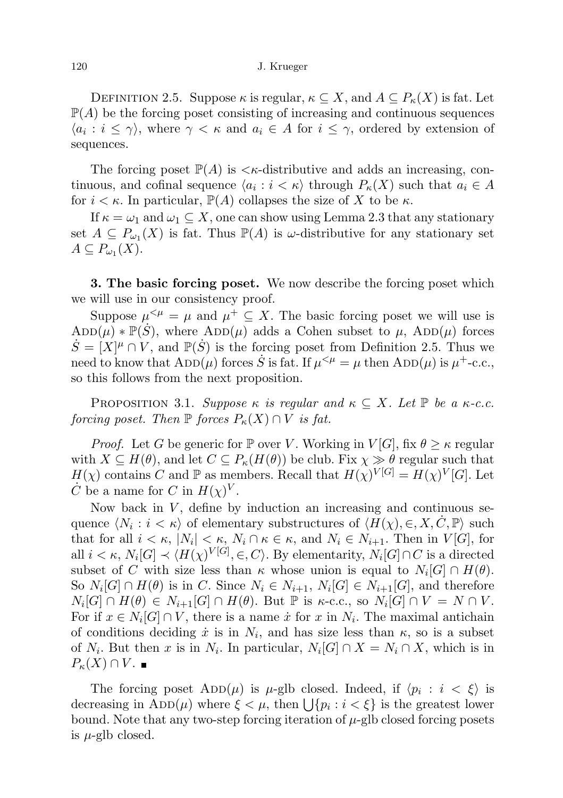DEFINITION 2.5. Suppose  $\kappa$  is regular,  $\kappa \subseteq X$ , and  $A \subseteq P_{\kappa}(X)$  is fat. Let  $\mathbb{P}(A)$  be the forcing poset consisting of increasing and continuous sequences  $\langle a_i : i \leq \gamma \rangle$ , where  $\gamma < \kappa$  and  $a_i \in A$  for  $i \leq \gamma$ , ordered by extension of sequences.

The forcing poset  $\mathbb{P}(A)$  is  $\lt \kappa$ -distributive and adds an increasing, continuous, and cofinal sequence  $\langle a_i : i \langle \kappa \rangle$  through  $P_{\kappa}(X)$  such that  $a_i \in A$ for  $i < \kappa$ . In particular,  $\mathbb{P}(A)$  collapses the size of X to be  $\kappa$ .

If  $\kappa = \omega_1$  and  $\omega_1 \subseteq X$ , one can show using Lemma 2.3 that any stationary set  $A \subseteq P_{\omega_1}(X)$  is fat. Thus  $\mathbb{P}(A)$  is  $\omega$ -distributive for any stationary set  $A\subseteq P_{\omega_1}(X).$ 

**3. The basic forcing poset.** We now describe the forcing poset which we will use in our consistency proof.

Suppose  $\mu^{\leq \mu} = \mu$  and  $\mu^+ \subseteq X$ . The basic forcing poset we will use is  $ADD(\mu) * \mathbb{P}(\dot{S})$ , where  $ADD(\mu)$  adds a Cohen subset to  $\mu$ ,  $ADD(\mu)$  forces  $\dot{S} = [X]^{\mu} \cap V$ , and  $\mathbb{P}(\dot{S})$  is the forcing poset from Definition 2.5. Thus we need to know that  $\text{ADD}(\mu)$  forces  $\dot{S}$  is fat. If  $\mu^{<\mu} = \mu$  then  $\text{ADD}(\mu)$  is  $\mu^{+}$ -c.c., so this follows from the next proposition.

PROPOSITION 3.1. Suppose  $\kappa$  is regular and  $\kappa \subseteq X$ . Let  $\mathbb P$  be a  $\kappa$ -c.c. forcing poset. Then  $\mathbb P$  forces  $P_{\kappa}(X) \cap V$  is fat.

*Proof.* Let G be generic for P over V. Working in  $V[G]$ , fix  $\theta \geq \kappa$  regular with  $X \subseteq H(\theta)$ , and let  $C \subseteq P_{\kappa}(H(\theta))$  be club. Fix  $\chi \gg \theta$  regular such that  $H(\chi)$  contains C and P as members. Recall that  $H(\chi)^{V[G]} = H(\chi)^{V}[G]$ . Let  $\dot{C}$  be a name for C in  $H(\chi)^V$ .

Now back in  $V$ , define by induction an increasing and continuous sequence  $\langle N_i : i < \kappa \rangle$  of elementary substructures of  $\langle H(\chi), \in, X, \dot{C}, \mathbb{P} \rangle$  such that for all  $i < \kappa$ ,  $|N_i| < \kappa$ ,  $N_i \cap \kappa \in \kappa$ , and  $N_i \in N_{i+1}$ . Then in  $V[G]$ , for all  $i < \kappa$ ,  $N_i[G] \prec \langle H(\chi)^{V[G]}, \in, C \rangle$ . By elementarity,  $N_i[G] \cap C$  is a directed subset of C with size less than  $\kappa$  whose union is equal to  $N_i[G] \cap H(\theta)$ . So  $N_i[G] \cap H(\theta)$  is in C. Since  $N_i \in N_{i+1}, N_i[G] \in N_{i+1}[G]$ , and therefore  $N_i[G] \cap H(\theta) \in N_{i+1}[G] \cap H(\theta)$ . But  $\mathbb P$  is  $\kappa$ -c.c., so  $N_i[G] \cap V = N \cap V$ . For if  $x \in N_i[G] \cap V$ , there is a name  $\dot{x}$  for  $x$  in  $N_i$ . The maximal antichain of conditions deciding  $\dot{x}$  is in  $N_i$ , and has size less than  $\kappa$ , so is a subset of  $N_i$ . But then x is in  $N_i$ . In particular,  $N_i[G] \cap X = N_i \cap X$ , which is in  $P_{\kappa}(X) \cap V$ . ■

The forcing poset  $\text{ADD}(\mu)$  is  $\mu$ -glb closed. Indeed, if  $\langle p_i : i \leq \xi \rangle$  is decreasing in  $\text{ADD}(\mu)$  where  $\xi < \mu$ , then  $\bigcup \{p_i : i < \xi\}$  is the greatest lower bound. Note that any two-step forcing iteration of  $\mu$ -glb closed forcing posets is  $\mu$ -glb closed.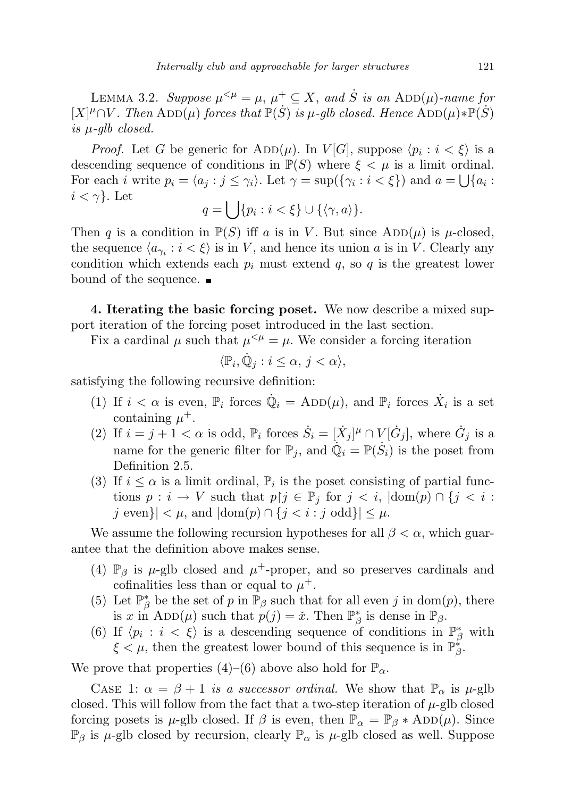LEMMA 3.2. Suppose  $\mu^{<\mu} = \mu$ ,  $\mu^+ \subseteq X$ , and  $\dot{S}$  is an ADD( $\mu$ )-name for  $[X]^{\mu} \cap V$ . Then  $\text{ADD}(\mu)$  forces that  $\mathbb{P}(\dot{S})$  is  $\mu$ -glb closed. Hence  $\text{ADD}(\mu) * \mathbb{P}(\dot{S})$ is  $\mu$ -glb closed.

*Proof.* Let G be generic for  $\text{ADD}(\mu)$ . In  $V[G]$ , suppose  $\langle p_i : i < \xi \rangle$  is a descending sequence of conditions in  $\mathbb{P}(S)$  where  $\xi < \mu$  is a limit ordinal. For each *i* write  $p_i = \langle a_j : j \leq \gamma_i \rangle$ . Let  $\gamma = \sup(\{\gamma_i : i < \xi\})$  and  $a = \bigcup\{a_i : j \leq \gamma_i\}$ .  $i < \gamma$ . Let

$$
q = \bigcup \{ p_i : i < \xi \} \cup \{ \langle \gamma, a \rangle \}.
$$

Then q is a condition in  $\mathbb{P}(S)$  iff a is in V. But since  $\text{ADD}(\mu)$  is  $\mu$ -closed, the sequence  $\langle a_{\gamma_i} : i < \xi \rangle$  is in V, and hence its union a is in V. Clearly any condition which extends each  $p_i$  must extend  $q$ , so  $q$  is the greatest lower bound of the sequence.

4. Iterating the basic forcing poset. We now describe a mixed support iteration of the forcing poset introduced in the last section.

Fix a cardinal  $\mu$  such that  $\mu^{<\mu} = \mu$ . We consider a forcing iteration

$$
\langle \mathbb{P}_i, \dot{\mathbb{Q}}_j : i \leq \alpha, \, j < \alpha \rangle,
$$

satisfying the following recursive definition:

- (1) If  $i < \alpha$  is even,  $\mathbb{P}_i$  forces  $\dot{\mathbb{Q}}_i = \mathrm{ADD}(\mu)$ , and  $\mathbb{P}_i$  forces  $\dot{X}_i$  is a set containing  $\mu^+$ .
- (2) If  $i = j + 1 < \alpha$  is odd,  $\mathbb{P}_i$  forces  $\dot{S}_i = [\dot{X}_j]^{\mu} \cap V[\dot{G}_j]$ , where  $\dot{G}_j$  is a name for the generic filter for  $\mathbb{P}_j$ , and  $\dot{\mathbb{Q}}_i = \mathbb{P}(\dot{S}_i)$  is the poset from Definition 2.5.
- (3) If  $i \leq \alpha$  is a limit ordinal,  $\mathbb{P}_i$  is the poset consisting of partial functions  $p : i \to V$  such that  $p \upharpoonright j \in \mathbb{P}_i$  for  $j < i$ ,  $|\text{dom}(p) \cap \{j < i :$ j even}|  $\langle \mu, \text{ and } | \text{dom}(p) \cap \{j \leq i : j \text{ odd}\} | \leq \mu.$

We assume the following recursion hypotheses for all  $\beta < \alpha$ , which guarantee that the definition above makes sense.

- (4)  $\mathbb{P}_{\beta}$  is  $\mu$ -glb closed and  $\mu^+$ -proper, and so preserves cardinals and cofinalities less than or equal to  $\mu^+$ .
- (5) Let  $\mathbb{P}^*_{\beta}$  be the set of p in  $\mathbb{P}_{\beta}$  such that for all even j in dom(p), there is x in ADD( $\mu$ ) such that  $p(j) = \tilde{x}$ . Then  $\mathbb{P}^*_{\beta}$  is dense in  $\mathbb{P}_{\beta}$ .
- (6) If  $\langle p_i : i \leq \xi \rangle$  is a descending sequence of conditions in  $\mathbb{P}^*_{\beta}$  with  $\xi < \mu$ , then the greatest lower bound of this sequence is in  $\mathbb{P}_{\beta}^*$ .

We prove that properties (4)–(6) above also hold for  $\mathbb{P}_{\alpha}$ .

CASE 1:  $\alpha = \beta + 1$  is a successor ordinal. We show that  $\mathbb{P}_{\alpha}$  is  $\mu$ -glb closed. This will follow from the fact that a two-step iteration of  $\mu$ -glb closed forcing posets is  $\mu$ -glb closed. If  $\beta$  is even, then  $\mathbb{P}_{\alpha} = \mathbb{P}_{\beta} * ADD(\mu)$ . Since  $\mathbb{P}_{\beta}$  is  $\mu$ -glb closed by recursion, clearly  $\mathbb{P}_{\alpha}$  is  $\mu$ -glb closed as well. Suppose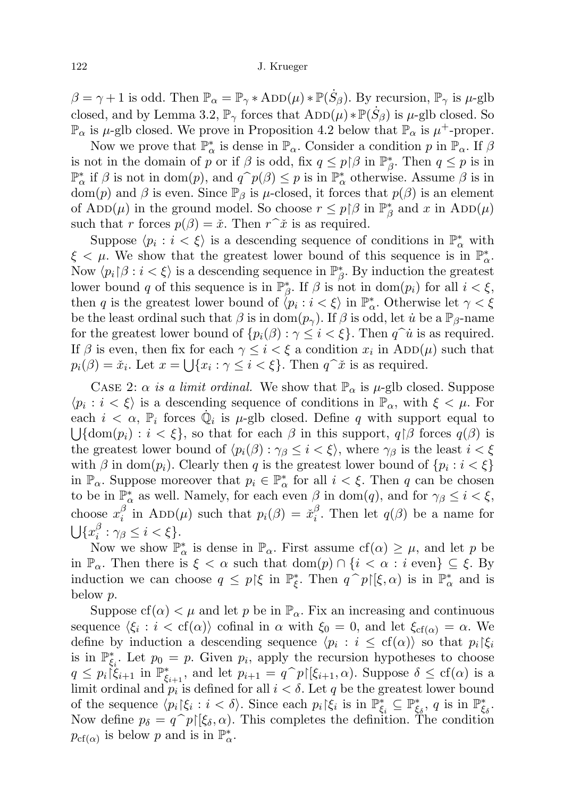$\beta = \gamma + 1$  is odd. Then  $\mathbb{P}_{\alpha} = \mathbb{P}_{\gamma} * ADD(\mu) * \mathbb{P}(\dot{S}_{\beta})$ . By recursion,  $\mathbb{P}_{\gamma}$  is  $\mu$ -glb closed, and by Lemma 3.2,  $\mathbb{P}_{\gamma}$  forces that  $\text{ADD}(\mu) * \mathbb{P}(\dot{S}_{\beta})$  is  $\mu$ -glb closed. So  $\mathbb{P}_{\alpha}$  is  $\mu$ -glb closed. We prove in Proposition 4.2 below that  $\mathbb{P}_{\alpha}$  is  $\mu^+$ -proper.

Now we prove that  $\mathbb{P}_\alpha^*$  is dense in  $\mathbb{P}_\alpha$ . Consider a condition p in  $\mathbb{P}_\alpha$ . If  $\beta$ is not in the domain of p or if  $\beta$  is odd, fix  $q \leq p \upharpoonright \beta$  in  $\mathbb{P}^*_{\beta}$ . Then  $q \leq p$  is in  $\mathbb{P}_{\alpha}^{*}$  if  $\beta$  is not in dom(p), and  $q^{\frown}p(\beta) \leq p$  is in  $\mathbb{P}_{\alpha}^{*}$  otherwise. Assume  $\beta$  is in dom(n) and  $\beta$  is over Since  $\mathbb{P}_{\alpha}$  is u closed it forces that  $p(\beta)$  is an element dom(p) and  $\beta$  is even. Since  $\mathbb{P}_{\beta}$  is  $\mu$ -closed, it forces that  $p(\beta)$  is an element of  $\text{ADD}(\mu)$  in the ground model. So choose  $r \leq p \upharpoonright \beta$  in  $\mathbb{P}^*_{\beta}$  and x in  $\text{ADD}(\mu)$ such that r forces  $p(\beta) = \check{x}$ . Then  $r\hat{~}\check{x}$  is as required.

Suppose  $\langle p_i : i \langle \xi \rangle$  is a descending sequence of conditions in  $\mathbb{P}^*_\alpha$  with  $\xi < \mu$ . We show that the greatest lower bound of this sequence is in  $\mathbb{P}^*_{\alpha}$ . Now  $\langle p_i | \beta : i < \xi \rangle$  is a descending sequence in  $\mathbb{P}^*_{\beta}$ . By induction the greatest lower bound q of this sequence is in  $\mathbb{P}_{\beta}^*$ . If  $\beta$  is not in dom $(p_i)$  for all  $i < \xi$ , then q is the greatest lower bound of  $\langle p_i : i < \xi \rangle$  in  $\mathbb{P}^*_\alpha$ . Otherwise let  $\gamma < \xi$ be the least ordinal such that  $\beta$  is in dom $(p_{\gamma})$ . If  $\beta$  is odd, let *u* be a  $\mathbb{P}_{\beta}$ -name for the greatest lower bound of  $\{p_i(\beta): \gamma \leq i < \xi\}$ . Then  $q^{\hat{\jmath}}\mathbf{i}$  is as required. If  $\beta$  is even, then fix for each  $\gamma \leq i < \xi$  a condition  $x_i$  in  $\text{ADD}(\mu)$  such that  $p_i(\beta) = \tilde{x}_i$ . Let  $x = \bigcup \{x_i : \gamma \leq i < \xi\}$ . Then  $q^{\hat{}}\tilde{x}$  is as required.

CASE 2:  $\alpha$  is a limit ordinal. We show that  $\mathbb{P}_{\alpha}$  is  $\mu$ -glb closed. Suppose  $\langle p_i : i < \xi \rangle$  is a descending sequence of conditions in  $\mathbb{P}_{\alpha}$ , with  $\xi < \mu$ . For each  $i < \alpha$ ,  $\mathbb{P}_i$  forces  $\dot{\mathbb{Q}}_i$  is  $\mu$ -glb closed. Define q with support equal to  $\bigcup {\text{dom}(p_i) : i < \xi},$  so that for each  $\beta$  in this support,  $q \upharpoonright \beta$  forces  $q(\beta)$  is the greatest lower bound of  $\langle p_i(\beta) : \gamma_\beta \leq i \leq \xi \rangle$ , where  $\gamma_\beta$  is the least  $i < \xi$ with  $\beta$  in dom $(p_i)$ . Clearly then q is the greatest lower bound of  $\{p_i : i < \xi\}$ in  $\mathbb{P}_{\alpha}$ . Suppose moreover that  $p_i \in \mathbb{P}_{\alpha}^*$  for all  $i < \xi$ . Then q can be chosen to be in  $\mathbb{P}^*_{\alpha}$  as well. Namely, for each even  $\beta$  in dom(q), and for  $\gamma_{\beta} \leq i < \xi$ , choose  $x_i^{\beta}$  $\frac{\beta}{i}$  in ADD( $\mu$ ) such that  $p_i(\beta) = \check{x}_i^{\beta}$  $i<sup>o</sup>$ . Then let  $q(\beta)$  be a name for  $\bigcup \{x_i^\beta$  $i^{\beta}: \gamma_{\beta} \leq i < \xi\}.$ 

Now we show  $\mathbb{P}^*_{\alpha}$  is dense in  $\mathbb{P}_{\alpha}$ . First assume  $cf(\alpha) \geq \mu$ , and let p be in  $\mathbb{P}_{\alpha}$ . Then there is  $\xi < \alpha$  such that  $\text{dom}(p) \cap \{i < \alpha : i \text{ even}\} \subseteq \xi$ . By induction we can choose  $q \leq p \in \mathfrak{g}$  in  $\mathbb{P}_{\xi}^*$ . Then  $q \cap p\in (\xi, \alpha)$  is in  $\mathbb{P}_{\alpha}^*$  and is below p.

Suppose  $cf(\alpha) < \mu$  and let p be in  $\mathbb{P}_{\alpha}$ . Fix an increasing and continuous sequence  $\langle \xi_i : i < \text{cf}(\alpha) \rangle$  cofinal in  $\alpha$  with  $\xi_0 = 0$ , and let  $\xi_{\text{cf}(\alpha)} = \alpha$ . We define by induction a descending sequence  $\langle p_i : i \leq \text{cf}(\alpha) \rangle$  so that  $p_i | \xi_i$ is in  $\mathbb{P}_{\xi_i}^*$ . Let  $p_0 = p$ . Given  $p_i$ , apply the recursion hypotheses to choose  $q \leq p_i \vec{\xi}_{i+1}$  in  $\mathbb{P}_{\xi_{i+1}}^*$ , and let  $p_{i+1} = q^p p[\xi_{i+1}, \alpha)$ . Suppose  $\delta \leq \text{cf}(\alpha)$  is a limit ordinal and  $p_i$  is defined for all  $i < \delta$ . Let g be the greatest lower bound limit ordinal and  $p_i$  is defined for all  $i < \delta$ . Let q be the greatest lower bound of the sequence  $\langle p_i | \xi_i : i < \delta \rangle$ . Since each  $p_i | \xi_i$  is in  $\mathbb{P}^*_{\xi_i} \subseteq \mathbb{P}^*_{\xi_{\delta}}, q$  is in  $\mathbb{P}^*_{\xi_{\delta}}$ . Now define  $p_{\delta} = q^{\hat{}}p[\xi_{\delta}, \alpha]$ . This completes the definition. The condition  $p_{cf(\alpha)}$  is below p and is in  $\mathbb{P}^*_{\alpha}$ .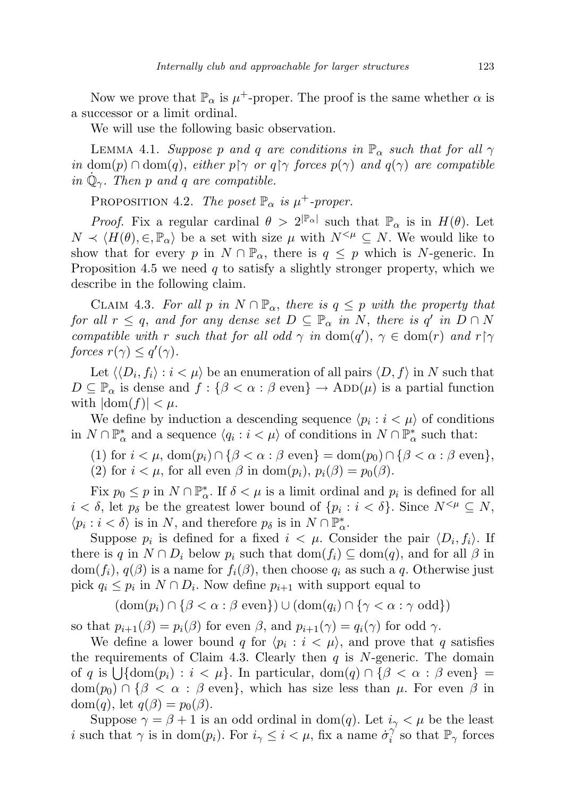Now we prove that  $\mathbb{P}_{\alpha}$  is  $\mu^{+}$ -proper. The proof is the same whether  $\alpha$  is a successor or a limit ordinal.

We will use the following basic observation.

LEMMA 4.1. Suppose p and q are conditions in  $\mathbb{P}_{\alpha}$  such that for all  $\gamma$ in dom(p)  $\cap$  dom(q), either p $\gamma$  or q $\gamma$  forces p( $\gamma$ ) and q( $\gamma$ ) are compatible in  $\dot{\mathbb{Q}}_{\gamma}$ . Then p and q are compatible.

PROPOSITION 4.2. The poset  $\mathbb{P}_{\alpha}$  is  $\mu^+$ -proper.

*Proof.* Fix a regular cardinal  $\theta > 2^{\mathbb{P}_{\alpha}|}$  such that  $\mathbb{P}_{\alpha}$  is in  $H(\theta)$ . Let  $N \prec \langle H(\theta), \in, \mathbb{P}_{\alpha} \rangle$  be a set with size  $\mu$  with  $N^{<\mu} \subseteq N$ . We would like to show that for every p in  $N \cap \mathbb{P}_{\alpha}$ , there is  $q \leq p$  which is N-generic. In Proposition 4.5 we need  $q$  to satisfy a slightly stronger property, which we describe in the following claim.

CLAIM 4.3. For all p in  $N \cap \mathbb{P}_{\alpha}$ , there is  $q \leq p$  with the property that for all  $r \leq q$ , and for any dense set  $D \subseteq \mathbb{P}_{\alpha}$  in N, there is  $q'$  in  $D \cap N$ compatible with r such that for all odd  $\gamma$  in dom(q'),  $\gamma \in \text{dom}(r)$  and  $r \upharpoonright \gamma$ forces  $r(\gamma) \leq q'(\gamma)$ .

Let  $\langle\langle D_i, f_i\rangle : i < \mu\rangle$  be an enumeration of all pairs  $\langle D, f\rangle$  in N such that  $D \subseteq \mathbb{P}_{\alpha}$  is dense and  $f : \{\beta < \alpha : \beta \text{ even}\}\ \to \text{ADD}(\mu)$  is a partial function with  $|\text{dom}(f)| < \mu$ .

We define by induction a descending sequence  $\langle p_i : i \langle \mu \rangle$  of conditions in  $N \cap \mathbb{P}^*_\alpha$  and a sequence  $\langle q_i : i < \mu \rangle$  of conditions in  $N \cap \mathbb{P}^*_\alpha$  such that:

- (1) for  $i < \mu$ ,  $\text{dom}(p_i) \cap {\beta < \alpha : \beta \text{ even}} = \text{dom}(p_0) \cap {\beta < \alpha : \beta \text{ even}}$ ,
- (2) for  $i < \mu$ , for all even  $\beta$  in dom $(p_i)$ ,  $p_i(\beta) = p_0(\beta)$ .

Fix  $p_0 \leq p$  in  $N \cap \mathbb{P}^*_\alpha$ . If  $\delta < \mu$  is a limit ordinal and  $p_i$  is defined for all  $i < \delta$ , let  $p_{\delta}$  be the greatest lower bound of  $\{p_i : i < \delta\}$ . Since  $N^{< \mu} \subseteq N$ ,  $\langle p_i : i < \delta \rangle$  is in N, and therefore  $p_\delta$  is in  $N \cap \mathbb{P}^*_\alpha$ .

Suppose  $p_i$  is defined for a fixed  $i < \mu$ . Consider the pair  $\langle D_i, f_i \rangle$ . If there is q in  $N \cap D_i$  below  $p_i$  such that  $dom(f_i) \subseteq dom(q)$ , and for all  $\beta$  in dom $(f_i)$ ,  $q(\beta)$  is a name for  $f_i(\beta)$ , then choose  $q_i$  as such a q. Otherwise just pick  $q_i \leq p_i$  in  $N \cap D_i$ . Now define  $p_{i+1}$  with support equal to

 $(\text{dom}(p_i) \cap {\beta < \alpha : \beta \text{ even}}) \cup (\text{dom}(q_i) \cap {\gamma < \alpha : \gamma \text{ odd}})$ 

so that  $p_{i+1}(\beta) = p_i(\beta)$  for even  $\beta$ , and  $p_{i+1}(\gamma) = q_i(\gamma)$  for odd  $\gamma$ .

We define a lower bound q for  $\langle p_i : i < \mu \rangle$ , and prove that q satisfies the requirements of Claim 4.3. Clearly then  $q$  is N-generic. The domain of q is  $\bigcup$ {dom(p<sub>i</sub>) :  $i < \mu$ }. In particular, dom(q)  $\cap$  { $\beta < \alpha$  :  $\beta$  even} =  $dom(p_0) \cap {\beta < \alpha : \beta \text{ even}},$  which has size less than  $\mu$ . For even  $\beta$  in dom $(q)$ , let  $q(\beta) = p_0(\beta)$ .

Suppose  $\gamma = \beta + 1$  is an odd ordinal in dom(q). Let  $i_{\gamma} < \mu$  be the least i such that  $\gamma$  is in dom(p<sub>i</sub>). For  $i_{\gamma} \leq i < \mu$ , fix a name  $\sigma_i^{\gamma}$  $i$ <sup>'</sup> so that  $\mathbb{P}_{\gamma}$  forces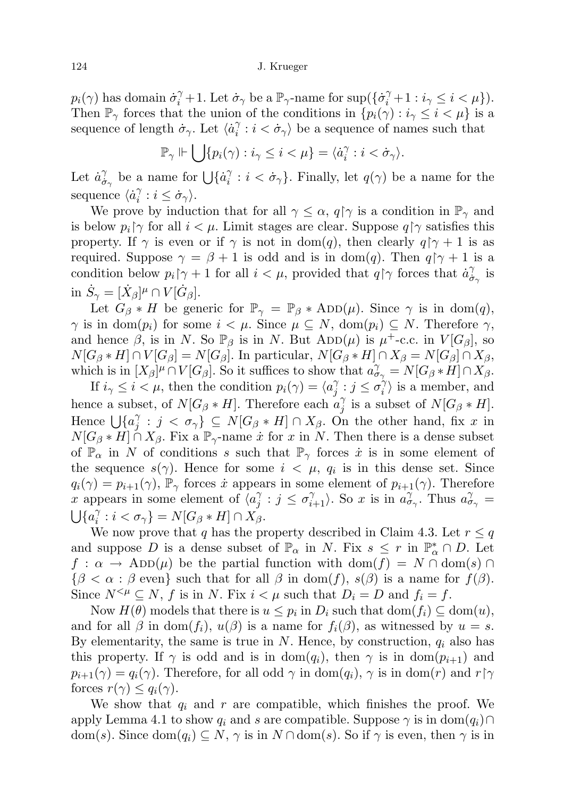## 124 J. Krueger

 $p_i(\gamma)$  has domain  $\dot{\sigma}_i^{\gamma} + 1$ . Let  $\dot{\sigma}_{\gamma}$  be a  $\mathbb{P}_{\gamma}$ -name for  $\sup(\{\dot{\sigma}_i^{\gamma} + 1 : i_{\gamma} \leq i \leq \mu\})$ . Then  $\mathbb{P}_{\gamma}$  forces that the union of the conditions in  $\{p_i(\gamma): i_{\gamma} \leq i \leq \mu\}$  is a sequence of length  $\dot{\sigma}_{\gamma}$ . Let  $\langle \dot{a}^{\gamma}_{i} \rangle$  $i \in \langle \dot{\sigma}_\gamma \rangle$  be a sequence of names such that

$$
\mathbb{P}_{\gamma} \Vdash \bigcup \{ p_i(\gamma) : i_{\gamma} \leq i < \mu \} = \langle \dot{a}_i^{\gamma} : i < \dot{\sigma}_{\gamma} \rangle.
$$

Let  $\dot{a}^{\gamma}_{\dot{\sigma}}$  $\begin{array}{c} \gamma \\ \dot{\sigma}_{\gamma} \end{array}$  be a name for  $\bigcup \{\dot{a}_i^{\gamma}\}$  $i = i \langle \dot{\sigma}_{\gamma} \rangle$ . Finally, let  $q(\gamma)$  be a name for the sequence  $\langle \dot{a}^{\gamma}_{i} \rangle$  $i^{\gamma} : i \leq \dot{\sigma}_{\gamma}$ .

We prove by induction that for all  $\gamma \leq \alpha$ ,  $q \upharpoonright \gamma$  is a condition in  $\mathbb{P}_{\gamma}$  and is below  $p_i \gamma$  for all  $i < \mu$ . Limit stages are clear. Suppose  $q \gamma$  satisfies this property. If  $\gamma$  is even or if  $\gamma$  is not in dom(q), then clearly  $q \upharpoonright \gamma + 1$  is as required. Suppose  $\gamma = \beta + 1$  is odd and is in dom(q). Then  $q \gamma + 1$  is a condition below  $p_i \gamma + 1$  for all  $i < \mu$ , provided that  $q \gamma$  forces that  $\dot{a}^{\gamma}_{\dot{\sigma}}$  $\frac{\gamma}{\sigma_{\gamma}}$  is in  $\dot{S}_{\gamma} = [\dot{X}_{\beta}]^{\mu} \cap V[\dot{G}_{\beta}].$ 

Let  $G_{\beta} * H$  be generic for  $\mathbb{P}_{\gamma} = \mathbb{P}_{\beta} * ADD(\mu)$ . Since  $\gamma$  is in dom(q),  $\gamma$  is in dom $(p_i)$  for some  $i < \mu$ . Since  $\mu \subseteq N$ , dom $(p_i) \subseteq N$ . Therefore  $\gamma$ , and hence  $\beta$ , is in N. So  $\mathbb{P}_{\beta}$  is in N. But ADD( $\mu$ ) is  $\mu^+$ -c.c. in  $V[G_{\beta}],$  so  $N[G_\beta * H] \cap V[G_\beta] = N[G_\beta]$ . In particular,  $N[G_\beta * H] \cap X_\beta = N[G_\beta] \cap X_\beta$ , which is in  $[X_\beta]^\mu \cap V[G_\beta]$ . So it suffices to show that  $a_{\sigma_\gamma}^\gamma = N[G_\beta * H] \cap X_\beta$ .

If  $i_{\gamma} \leq i \leq \mu$ , then the condition  $p_i(\gamma) = \langle a_i^{\gamma} \rangle$  $\sigma_{j}^{\gamma}:j\leq\sigma_{i}^{\gamma}$  $\binom{\gamma}{i}$  is a member, and hence a subset, of  $N[G_\beta * H]$ . Therefore each  $a_i^2$  $\gamma_j^{\gamma}$  is a subset of  $N[G_{\beta}*H].$ Hence  $\bigcup \{a_i^{\gamma}\}$  $j \in \{j \in \sigma_\gamma\} \subseteq N[G_\beta * H] \cap X_\beta$ . On the other hand, fix x in  $N[G_\beta * H] \cap X_\beta$ . Fix a  $\mathbb{P}_\gamma$ -name  $\dot{x}$  for  $x$  in  $N$ . Then there is a dense subset of  $\mathbb{P}_{\alpha}$  in N of conditions s such that  $\mathbb{P}_{\gamma}$  forces  $\dot{x}$  is in some element of the sequence  $s(\gamma)$ . Hence for some  $i < \mu$ ,  $q_i$  is in this dense set. Since  $q_i(\gamma) = p_{i+1}(\gamma)$ ,  $\mathbb{P}_{\gamma}$  forces *i* appears in some element of  $p_{i+1}(\gamma)$ . Therefore x appears in some element of  $\langle a \rangle$  $\sigma_j^{\gamma}$  :  $j \leq \sigma_{i+1}^{\gamma}$ . So x is in  $a_{\sigma_{\gamma}}^{\gamma}$ . Thus  $a_{\sigma_{\gamma}}^{\gamma}$  $\bigcup \{a_i^{\gamma}$  $i \in \{ \sigma_{\gamma} \} = N[G_{\beta}*H] \cap X_{\beta}.$ 

We now prove that q has the property described in Claim 4.3. Let  $r \leq q$ and suppose D is a dense subset of  $\mathbb{P}_{\alpha}$  in N. Fix  $s \leq r$  in  $\mathbb{P}_{\alpha}^* \cap D$ . Let  $f : \alpha \to \text{ADD}(\mu)$  be the partial function with  $\text{dom}(f) = N \cap \text{dom}(s) \cap$  ${\beta < \alpha : \beta \text{ even}}$  such that for all  $\beta$  in dom(f),  $s(\beta)$  is a name for  $f(\beta)$ . Since  $N^{<\mu} \subseteq N$ , f is in N. Fix  $i < \mu$  such that  $D_i = D$  and  $f_i = f$ .

Now  $H(\theta)$  models that there is  $u \leq p_i$  in  $D_i$  such that  $dom(f_i) \subseteq dom(u)$ , and for all  $\beta$  in dom $(f_i)$ ,  $u(\beta)$  is a name for  $f_i(\beta)$ , as witnessed by  $u = s$ . By elementarity, the same is true in N. Hence, by construction,  $q_i$  also has this property. If  $\gamma$  is odd and is in dom( $q_i$ ), then  $\gamma$  is in dom( $p_{i+1}$ ) and  $p_{i+1}(\gamma) = q_i(\gamma)$ . Therefore, for all odd  $\gamma$  in dom $(q_i)$ ,  $\gamma$  is in dom $(r)$  and  $r \upharpoonright \gamma$ forces  $r(\gamma) \leq q_i(\gamma)$ .

We show that  $q_i$  and r are compatible, which finishes the proof. We apply Lemma 4.1 to show  $q_i$  and s are compatible. Suppose  $\gamma$  is in dom $(q_i) \cap$ dom(s). Since  $\text{dom}(q_i) \subseteq N$ ,  $\gamma$  is in  $N \cap \text{dom}(s)$ . So if  $\gamma$  is even, then  $\gamma$  is in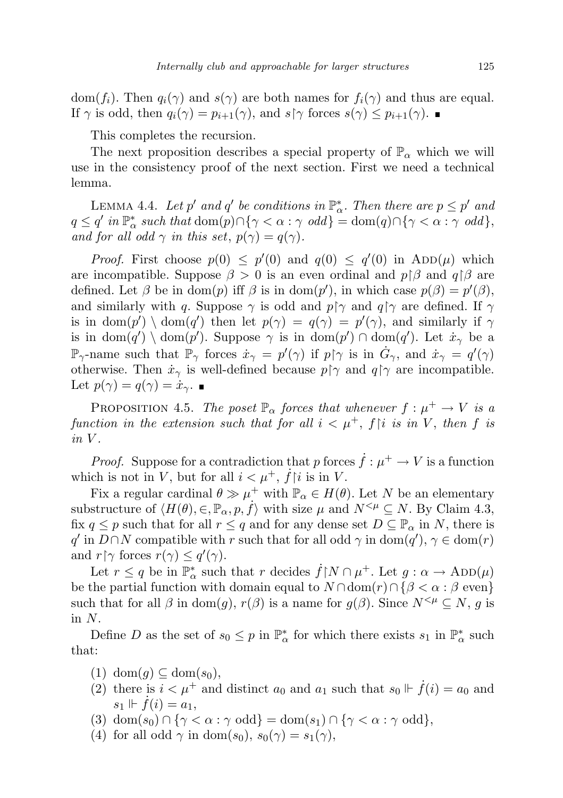dom(f<sub>i</sub>). Then  $q_i(\gamma)$  and  $s(\gamma)$  are both names for  $f_i(\gamma)$  and thus are equal. If  $\gamma$  is odd, then  $q_i(\gamma) = p_{i+1}(\gamma)$ , and  $s \upharpoonright \gamma$  forces  $s(\gamma) \leq p_{i+1}(\gamma)$ .

This completes the recursion.

The next proposition describes a special property of  $\mathbb{P}_{\alpha}$  which we will use in the consistency proof of the next section. First we need a technical lemma.

LEMMA 4.4. Let p' and q' be conditions in  $\mathbb{P}_{\alpha}^*$ . Then there are  $p \leq p'$  and  $q \leq q'$  in  $\mathbb{P}^*_\alpha$  such that  $\text{dom}(p) \cap \{\gamma < \alpha : \gamma \text{ odd}\} = \text{dom}(q) \cap \{\gamma < \alpha : \gamma \text{ odd}\},$ and for all odd  $\gamma$  in this set,  $p(\gamma) = q(\gamma)$ .

*Proof.* First choose  $p(0) \leq p'(0)$  and  $q(0) \leq q'(0)$  in  $ADD(\mu)$  which are incompatible. Suppose  $\beta > 0$  is an even ordinal and  $p \upharpoonright \beta$  and  $q \upharpoonright \beta$  are defined. Let  $\beta$  be in dom(p) iff  $\beta$  is in dom(p'), in which case  $p(\beta) = p'(\beta)$ , and similarly with q. Suppose  $\gamma$  is odd and  $p \uparrow \gamma$  and  $q \uparrow \gamma$  are defined. If  $\gamma$ is in dom $(p') \setminus \text{dom}(q')$  then let  $p(\gamma) = q(\gamma) = p'(\gamma)$ , and similarly if  $\gamma$ is in dom(q') \ dom(p'). Suppose  $\gamma$  is in dom(p')  $\cap$  dom(q'). Let  $\dot{x}_{\gamma}$  be a  $\mathbb{P}_{\gamma}$ -name such that  $\mathbb{P}_{\gamma}$  forces  $\dot{x}_{\gamma} = p'(\gamma)$  if  $p \upharpoonright \gamma$  is in  $\dot{G}_{\gamma}$ , and  $\dot{x}_{\gamma} = q'(\gamma)$ otherwise. Then  $\dot{x}_{\gamma}$  is well-defined because  $p \uparrow \gamma$  and  $q \uparrow \gamma$  are incompatible. Let  $p(\gamma) = q(\gamma) = \dot{x}_{\gamma}$ .

PROPOSITION 4.5. The poset  $\mathbb{P}_{\alpha}$  forces that whenever  $f: \mu^+ \to V$  is a function in the extension such that for all  $i < \mu^+$ ,  $f|i$  is in V, then f is  $in V$ .

*Proof.* Suppose for a contradiction that p forces  $\dot{f}: \mu^+ \to V$  is a function which is not in V, but for all  $i < \mu^+$ ,  $\dot{f}$  is in V.

Fix a regular cardinal  $\theta \gg \mu^+$  with  $\mathbb{P}_{\alpha} \in H(\theta)$ . Let N be an elementary substructure of  $\langle H(\theta), \in, \mathbb{P}_{\alpha}, p, f \rangle$  with size  $\mu$  and  $N^{<\mu} \subseteq N$ . By Claim 4.3, fix  $q \leq p$  such that for all  $r \leq q$  and for any dense set  $D \subseteq \mathbb{P}_{\alpha}$  in N, there is q' in  $D \cap N$  compatible with r such that for all odd  $\gamma$  in dom $(q')$ ,  $\gamma \in \text{dom}(r)$ and  $r \upharpoonright \gamma$  forces  $r(\gamma) \leq q'(\gamma)$ .

Let  $r \leq q$  be in  $\mathbb{P}^*_\alpha$  such that r decides  $\dot{f} \upharpoonright N \cap \mu^+$ . Let  $g : \alpha \to \text{ADD}(\mu)$ be the partial function with domain equal to  $N \cap \text{dom}(r) \cap \{ \beta < \alpha : \beta \text{ even} \}$ such that for all  $\beta$  in dom(g),  $r(\beta)$  is a name for  $g(\beta)$ . Since  $N^{\leq \mu} \subseteq N$ , g is in  $N$ .

Define D as the set of  $s_0 \leq p$  in  $\mathbb{P}^*_{\alpha}$  for which there exists  $s_1$  in  $\mathbb{P}^*_{\alpha}$  such that:

- $(1)$  dom $(g) \subseteq$  dom $(s_0)$ ,
- (2) there is  $i < \mu^+$  and distinct  $a_0$  and  $a_1$  such that  $s_0 \Vdash \dot{f}(i) = a_0$  and  $s_1 \Vdash f(i) = a_1,$
- (3)  $\text{dom}(s_0) \cap {\gamma < \alpha : \gamma \text{ odd}} = \text{dom}(s_1) \cap {\gamma < \alpha : \gamma \text{ odd}}$ ,
- (4) for all odd  $\gamma$  in dom(s<sub>0</sub>),  $s_0(\gamma) = s_1(\gamma)$ ,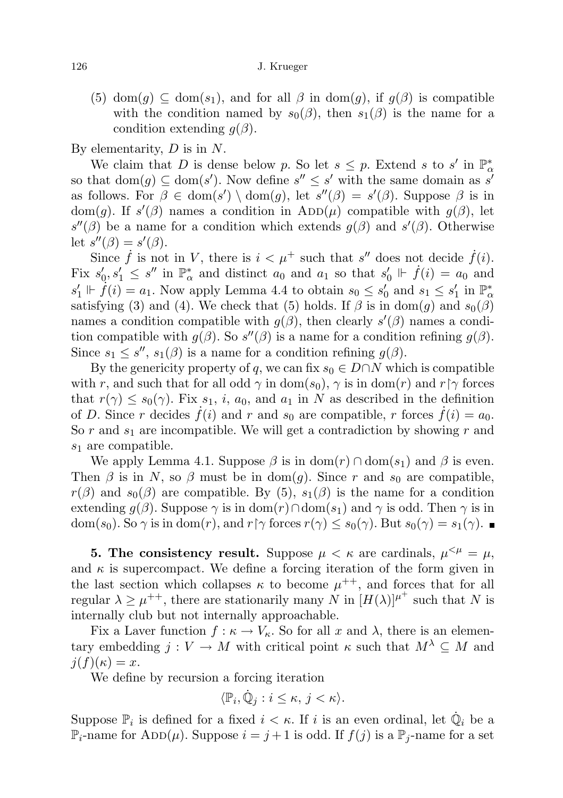(5) dom(g)  $\subseteq$  dom(s<sub>1</sub>), and for all  $\beta$  in dom(g), if  $g(\beta)$  is compatible with the condition named by  $s_0(\beta)$ , then  $s_1(\beta)$  is the name for a condition extending  $g(\beta)$ .

By elementarity,  $D$  is in  $N$ .

We claim that D is dense below p. So let  $s \leq p$ . Extend s to s' in  $\mathbb{P}^*_\alpha$ so that  $dom(g) \subseteq dom(s')$ . Now define  $s'' \leq s'$  with the same domain as s' as follows. For  $\beta \in \text{dom}(s') \setminus \text{dom}(g)$ , let  $s''(\beta) = s'(\beta)$ . Suppose  $\beta$  is in dom(g). If  $s'(\beta)$  names a condition in  $ADD(\mu)$  compatible with  $g(\beta)$ , let  $s''(\beta)$  be a name for a condition which extends  $g(\beta)$  and  $s'(\beta)$ . Otherwise let  $s''(\beta) = s'(\beta)$ .

Since  $\dot{f}$  is not in V, there is  $i < \mu^+$  such that s'' does not decide  $\dot{f}(i)$ . Fix  $s'_0, s'_1 \leq s''$  in  $\mathbb{P}^*_\alpha$  and distinct  $a_0$  and  $a_1$  so that  $s'_0 \Vdash \dot{f}(i) = a_0$  and  $s'_1 \Vdash \dot{f}(i) = a_1$ . Now apply Lemma 4.4 to obtain  $s_0 \leq s'_0$  and  $s_1 \leq s'_1$  in  $\mathbb{P}^*_\alpha$ satisfying (3) and (4). We check that (5) holds. If  $\beta$  is in dom(g) and  $s_0(\beta)$ names a condition compatible with  $g(\beta)$ , then clearly  $s'(\beta)$  names a condition compatible with  $g(\beta)$ . So  $s''(\beta)$  is a name for a condition refining  $g(\beta)$ . Since  $s_1 \leq s''$ ,  $s_1(\beta)$  is a name for a condition refining  $g(\beta)$ .

By the genericity property of q, we can fix  $s_0 \in D \cap N$  which is compatible with r, and such that for all odd  $\gamma$  in dom(s<sub>0</sub>),  $\gamma$  is in dom(r) and r[ $\gamma$  forces that  $r(\gamma) \leq s_0(\gamma)$ . Fix  $s_1$ , i,  $a_0$ , and  $a_1$  in N as described in the definition of D. Since r decides  $\dot{f}(i)$  and r and  $s_0$  are compatible, r forces  $\dot{f}(i) = a_0$ . So r and  $s_1$  are incompatible. We will get a contradiction by showing r and  $s_1$  are compatible.

We apply Lemma 4.1. Suppose  $\beta$  is in dom(r)  $\cap$  dom(s<sub>1</sub>) and  $\beta$  is even. Then  $\beta$  is in N, so  $\beta$  must be in dom(g). Since r and s<sub>0</sub> are compatible,  $r(\beta)$  and  $s_0(\beta)$  are compatible. By (5),  $s_1(\beta)$  is the name for a condition extending  $q(\beta)$ . Suppose  $\gamma$  is in  $dom(r) \cap dom(s_1)$  and  $\gamma$  is odd. Then  $\gamma$  is in  $dom(s_0)$ . So  $\gamma$  is in dom(r), and r[ $\gamma$  forces  $r(\gamma) \leq s_0(\gamma)$ . But  $s_0(\gamma) = s_1(\gamma)$ .

**5. The consistency result.** Suppose  $\mu < \kappa$  are cardinals,  $\mu^{<\mu} = \mu$ , and  $\kappa$  is supercompact. We define a forcing iteration of the form given in the last section which collapses  $\kappa$  to become  $\mu^{++}$ , and forces that for all regular  $\lambda \geq \mu^{++}$ , there are stationarily many N in  $[H(\lambda)]^{\mu^+}$  such that N is internally club but not internally approachable.

Fix a Laver function  $f : \kappa \to V_{\kappa}$ . So for all x and  $\lambda$ , there is an elementary embedding  $j: V \to M$  with critical point  $\kappa$  such that  $M^{\lambda} \subseteq M$  and  $j(f)(\kappa) = x.$ 

We define by recursion a forcing iteration

$$
\langle \mathbb{P}_i, \dot{\mathbb{Q}}_j : i \leq \kappa, \, j < \kappa \rangle.
$$

Suppose  $\mathbb{P}_i$  is defined for a fixed  $i < \kappa$ . If i is an even ordinal, let  $\dot{\mathbb{Q}}_i$  be a  $\mathbb{P}_i$ -name for ADD( $\mu$ ). Suppose  $i = j + 1$  is odd. If  $f(j)$  is a  $\mathbb{P}_i$ -name for a set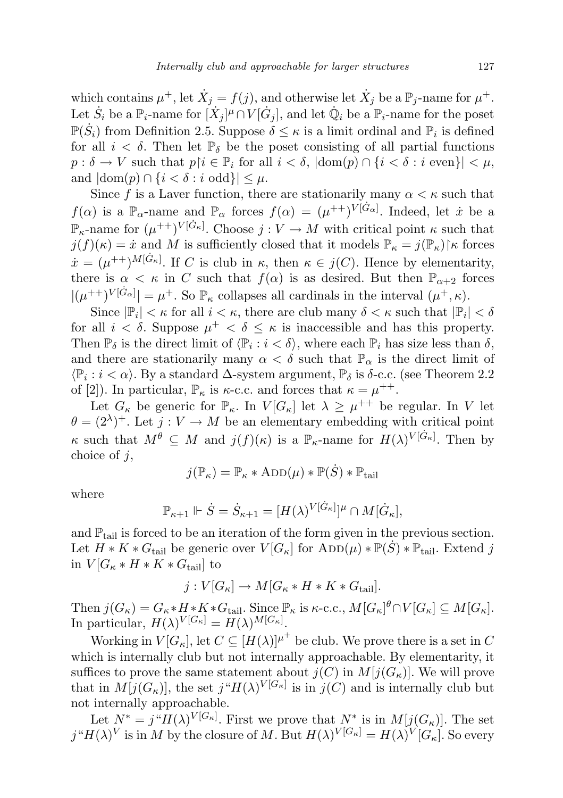which contains  $\mu^+$ , let  $\dot{X}_j = f(j)$ , and otherwise let  $\dot{X}_j$  be a  $\mathbb{P}_j$ -name for  $\mu^+$ . Let  $\dot{S}_i$  be a  $\mathbb{P}_i$ -name for  $[\dot{X}_j]^{\mu} \cap V[\dot{G}_j]$ , and let  $\dot{\mathbb{Q}}_i$  be a  $\mathbb{P}_i$ -name for the poset  $\mathbb{P}(\dot{S}_i)$  from Definition 2.5. Suppose  $\delta \leq \kappa$  is a limit ordinal and  $\mathbb{P}_i$  is defined for all  $i < \delta$ . Then let  $\mathbb{P}_{\delta}$  be the poset consisting of all partial functions  $p : \delta \to V$  such that  $p \upharpoonright i \in \mathbb{P}_i$  for all  $i < \delta$ ,  $|\text{dom}(p) \cap \{i < \delta : i \text{ even}\}| < \mu$ , and  $|\text{dom}(p) \cap \{i < \delta : i \text{ odd}\}| \leq \mu$ .

Since f is a Laver function, there are stationarily many  $\alpha < \kappa$  such that  $f(\alpha)$  is a  $\mathbb{P}_{\alpha}$ -name and  $\mathbb{P}_{\alpha}$  forces  $f(\alpha) = (\mu^{++})^{V[\dot{G}_{\alpha}]}$ . Indeed, let  $\dot{x}$  be a  $\mathbb{P}_{\kappa}$ -name for  $(\mu^{++})^{V[\dot{G}_{\kappa}]}$ . Choose  $j: V \to M$  with critical point  $\kappa$  such that  $j(f)(\kappa) = \dot{x}$  and M is sufficiently closed that it models  $\mathbb{P}_{\kappa} = j(\mathbb{P}_{\kappa})\upharpoonright \kappa$  forces  $\dot{x} = (\mu^{++})^{M[\dot{G}_{\kappa}]}$ . If C is club in  $\kappa$ , then  $\kappa \in j(C)$ . Hence by elementarity, there is  $\alpha < \kappa$  in C such that  $f(\alpha)$  is as desired. But then  $\mathbb{P}_{\alpha+2}$  forces  $|(\mu^{++})^{V[G_\alpha]}| = \mu^+$ . So  $\mathbb{P}_\kappa$  collapses all cardinals in the interval  $(\mu^+,\kappa)$ .

Since  $|\mathbb{P}_i| < \kappa$  for all  $i < \kappa$ , there are club many  $\delta < \kappa$  such that  $|\mathbb{P}_i| < \delta$ for all  $i < \delta$ . Suppose  $\mu^+ < \delta \leq \kappa$  is inaccessible and has this property. Then  $\mathbb{P}_{\delta}$  is the direct limit of  $\langle \mathbb{P}_i : i < \delta \rangle$ , where each  $\mathbb{P}_i$  has size less than  $\delta$ , and there are stationarily many  $\alpha < \delta$  such that  $\mathbb{P}_{\alpha}$  is the direct limit of  $\langle \mathbb{P}_i : i < \alpha \rangle$ . By a standard  $\Delta$ -system argument,  $\mathbb{P}_\delta$  is  $\delta$ -c.c. (see Theorem 2.2) of [2]). In particular,  $\mathbb{P}_{\kappa}$  is  $\kappa$ -c.c. and forces that  $\kappa = \mu^{++}$ .

Let  $G_{\kappa}$  be generic for  $\mathbb{P}_{\kappa}$ . In  $V[G_{\kappa}]$  let  $\lambda \geq \mu^{++}$  be regular. In V let  $\theta = (2^{\lambda})^+$ . Let  $j: V \to M$  be an elementary embedding with critical point  $\kappa$  such that  $M^{\theta} \subseteq M$  and  $j(f)(\kappa)$  is a  $\mathbb{P}_{\kappa}$ -name for  $H(\lambda)^{V[G_{\kappa}]}$ . Then by choice of  $i$ ,

$$
j(\mathbb{P}_\kappa)=\mathbb{P}_\kappa*\mathrm{ADD}(\mu)*\mathbb{P}(\dot{S})*\mathbb{P}_{\mathrm{tail}}
$$

where

$$
\mathbb{P}_{\kappa+1} \Vdash \dot{S} = \dot{S}_{\kappa+1} = [H(\lambda)^{V[\dot{G}_{\kappa}]}]^{\mu} \cap M[\dot{G}_{\kappa}],
$$

and  $\mathbb{P}_{\text{tail}}$  is forced to be an iteration of the form given in the previous section. Let  $H * K * G_{tail}$  be generic over  $V[G_{\kappa}]$  for  $\overline{\text{ADD}}(\mu) * \mathbb{P}(\dot{S}) * \mathbb{P}_{tail}$ . Extend j in  $V[G_{\kappa}*H*K*G_{\text{tail}}]$  to

$$
j: V[G_{\kappa}] \to M[G_{\kappa} * H * K * G_{\text{tail}}].
$$

Then  $j(G_{\kappa}) = G_{\kappa} * H * K * G_{\text{tail}}$ . Since  $\mathbb{P}_{\kappa}$  is  $\kappa$ -c.c.,  $M[G_{\kappa}]^{\theta} \cap V[G_{\kappa}] \subseteq M[G_{\kappa}]$ . In particular,  $H(\lambda)^{V[G_{\kappa}]} = H(\lambda)^{M[G_{\kappa}]}$ .

Working in  $V[G_{\kappa}],$  let  $C \subseteq [H(\lambda)]^{\mu^+}$  be club. We prove there is a set in C which is internally club but not internally approachable. By elementarity, it suffices to prove the same statement about  $j(C)$  in  $M[j(G_{\kappa})]$ . We will prove that in  $M[j(G_{\kappa})]$ , the set  $j^{\mu}H(\lambda)^{V[G_{\kappa}]}$  is in  $j(C)$  and is internally club but not internally approachable.

Let  $N^* = j^*H(\lambda)^{V[G_\kappa]}$ . First we prove that  $N^*$  is in  $M[j(G_\kappa)]$ . The set  $j^H H(\lambda)^V$  is in M by the closure of M. But  $H(\lambda)^{V[G_\kappa]} = H(\lambda)^V[G_\kappa]$ . So every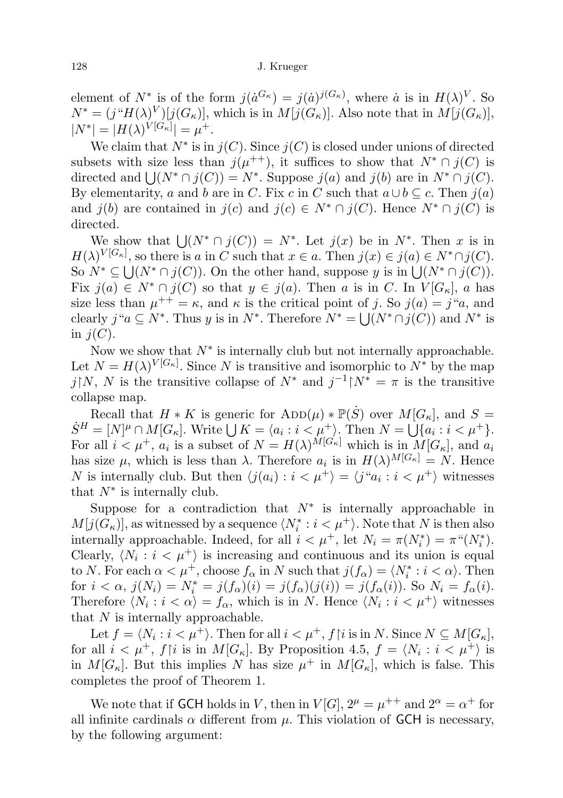element of  $N^*$  is of the form  $j(\dot{a}^{G_{\kappa}}) = j(\dot{a})^{j(G_{\kappa})}$ , where  $\dot{a}$  is in  $H(\lambda)^V$ . So  $N^* = (j^*H(\lambda)^V)[j(G_{\kappa})],$  which is in  $M[j(G_{\kappa})].$  Also note that in  $M[j(G_{\kappa})],$  $|N^*| = |H(\lambda)^{V[G_\kappa]}| = \mu^+.$ 

We claim that  $N^*$  is in  $j(C)$ . Since  $j(C)$  is closed under unions of directed subsets with size less than  $j(\mu^{++})$ , it suffices to show that  $N^* \cap j(C)$  is directed and  $\bigcup (N^* \cap j(C)) = N^*$ . Suppose  $j(a)$  and  $j(b)$  are in  $N^* \cap j(C)$ . By elementarity, a and b are in C. Fix c in C such that  $a \cup b \subseteq c$ . Then  $j(a)$ and  $j(b)$  are contained in  $j(c)$  and  $j(c) \in N^* \cap j(C)$ . Hence  $N^* \cap j(C)$  is directed.

We show that  $\bigcup (N^* \cap j(C)) = N^*$ . Let  $j(x)$  be in  $N^*$ . Then x is in  $H(\lambda)^{V[G_{\kappa}]},$  so there is a in C such that  $x \in a$ . Then  $j(x) \in j(a) \in N^* \cap j(C)$ . So  $N^* \subseteq \bigcup (N^* \cap j(C))$ . On the other hand, suppose y is in  $\bigcup (N^* \cap j(C))$ . Fix  $j(a) \in N^* \cap j(C)$  so that  $y \in j(a)$ . Then a is in C. In  $V[G_\kappa]$ , a has size less than  $\mu^{++} = \kappa$ , and  $\kappa$  is the critical point of j. So  $j(a) = j^{\alpha}a$ , and clearly  $j "a \subseteq N^*$ . Thus y is in  $N^*$ . Therefore  $N^* = \bigcup (N^* \cap j(C))$  and  $N^*$  is in  $j(C)$ .

Now we show that  $N^*$  is internally club but not internally approachable. Let  $N = H(\lambda)^{V[G_{\kappa}]}$ . Since N is transitive and isomorphic to  $N^*$  by the map j|N, N is the transitive collapse of  $N^*$  and  $j^{-1}$ |N<sup>\*</sup> =  $\pi$  is the transitive collapse map.

Recall that  $H * K$  is generic for  $\mathrm{ADD}(\mu) * \mathbb{P}(\dot{S})$  over  $M[G_{\kappa}],$  and  $S =$  $\dot{S}^H = [N]^{\mu} \cap M[G_{\kappa}]$ . Write  $\bigcup K = \langle a_i : i < \mu^+ \rangle$ . Then  $N = \bigcup \{a_i : i < \mu^+ \}$ . For all  $i < \mu^+$ ,  $a_i$  is a subset of  $N = H(\lambda)^{M[G_{\kappa}]}$  which is in  $M[G_{\kappa}],$  and  $a_i$ has size  $\mu$ , which is less than  $\lambda$ . Therefore  $a_i$  is in  $H(\lambda)^{M[G_{\kappa}]} = N$ . Hence N is internally club. But then  $\langle j(a_i) : i < \mu^+ \rangle = \langle j^a a_i : i < \mu^+ \rangle$  witnesses that  $N^*$  is internally club.

Suppose for a contradiction that  $N^*$  is internally approachable in  $M[j(G_{\kappa})]$ , as witnessed by a sequence  $\langle N_i^*: i < \mu^+ \rangle$ . Note that N is then also internally approachable. Indeed, for all  $i < \mu^+$ , let  $N_i = \pi(N_i^*) = \pi^*(N_i^*)$ . Clearly,  $\langle N_i : i < \mu^+ \rangle$  is increasing and continuous and its union is equal to N. For each  $\alpha < \mu^+$ , choose  $f_\alpha$  in N such that  $j(f_\alpha) = \langle N_i^* : i < \alpha \rangle$ . Then for  $i < \alpha$ ,  $j(N_i) = N_i^* = j(f_\alpha)(i) = j(f_\alpha)(j(i)) = j(f_\alpha(i))$ . So  $N_i = f_\alpha(i)$ . Therefore  $\langle N_i : i < \alpha \rangle = f_\alpha$ , which is in N. Hence  $\langle N_i : i < \mu^+ \rangle$  witnesses that  $N$  is internally approachable.

Let  $f = \langle N_i : i < \mu^+ \rangle$ . Then for all  $i < \mu^+, f{\restriction} i$  is in N. Since  $N \subseteq M[G_\kappa],$ for all  $i < \mu^+$ ,  $f[i]$  is in  $M[G_\kappa]$ . By Proposition 4.5,  $f = \langle N_i : i < \mu^+ \rangle$  is in  $M[G_{\kappa}]$ . But this implies N has size  $\mu^+$  in  $M[G_{\kappa}]$ , which is false. This completes the proof of Theorem 1.

We note that if GCH holds in V, then in  $V[G], 2^{\mu} = \mu^{++}$  and  $2^{\alpha} = \alpha^{+}$  for all infinite cardinals  $\alpha$  different from  $\mu$ . This violation of GCH is necessary, by the following argument: